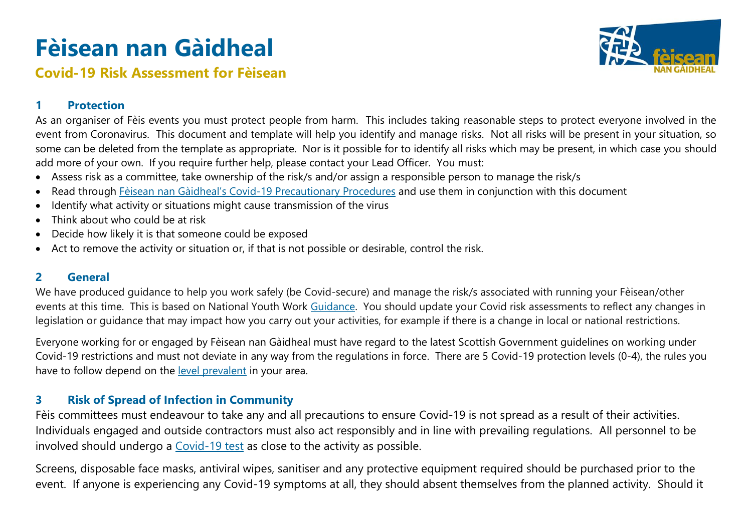# **Fèisean nan Gàidheal**



# **Covid-19 Risk Assessment for Fèisean**

### **1 Protection**

As an organiser of Fèis events you must protect people from harm. This includes taking reasonable steps to protect everyone involved in the event from Coronavirus. This document and template will help you identify and manage risks. Not all risks will be present in your situation, so some can be deleted from the template as appropriate. Nor is it possible for to identify all risks which may be present, in which case you should add more of your own. If you require further help, please contact your Lead Officer. You must:

- Assess risk as a committee, take ownership of the risk/s and/or assign a responsible person to manage the risk/s
- Read through Fèisean nan Gàidheal's [Covid-19 Precautionary](https://www.dropbox.com/s/h7fqychnze87iaw/FnG-Covid%20Precautionary%20Proecedures.docx?dl=0) Procedures and use them in conjunction with this document
- Identify what activity or situations might cause transmission of the virus
- Think about who could be at risk
- Decide how likely it is that someone could be exposed
- Act to remove the activity or situation or, if that is not possible or desirable, control the risk.

#### **2 General**

We have produced guidance to help you work safely (be Covid-secure) and manage the risk/s associated with running your Fèisean/other events at this time. This is based on National Youth Work [Guidance.](https://www.youthlinkscotland.org/media/5974/youth-work-covid-19-guidance-framework.pdf) You should update your Covid risk assessments to reflect any changes in legislation or guidance that may impact how you carry out your activities, for example if there is a change in local or national restrictions.

Everyone working for or engaged by Fèisean nan Gàidheal must have regard to the latest Scottish Government guidelines on working under Covid-19 restrictions and must not deviate in any way from the regulations in force. There are 5 Covid-19 protection levels (0-4), the rules you have to follow depend on the [level prevalent](https://www.gov.scot/publications/coronavirus-covid-19-protection-levels/) in your area.

## **3 Risk of Spread of Infection in Community**

Fèis committees must endeavour to take any and all precautions to ensure Covid-19 is not spread as a result of their activities. Individuals engaged and outside contractors must also act responsibly and in line with prevailing regulations. All personnel to be involved should undergo a [Covid-19 test](https://www.nhs.uk/conditions/coronavirus-covid-19/testing/regular-rapid-coronavirus-tests-if-you-do-not-have-symptoms/) as close to the activity as possible.

Screens, disposable face masks, antiviral wipes, sanitiser and any protective equipment required should be purchased prior to the event. If anyone is experiencing any Covid-19 symptoms at all, they should absent themselves from the planned activity. Should it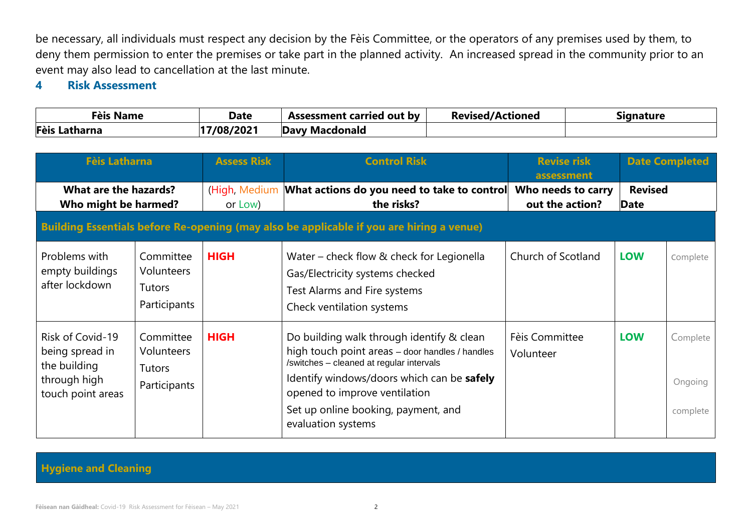be necessary, all individuals must respect any decision by the Fèis Committee, or the operators of any premises used by them, to deny them permission to enter the premises or take part in the planned activity. An increased spread in the community prior to an event may also lead to cancellation at the last minute.

#### **4 Risk Assessment**

| <b>Fèis Name</b> | <b>Date</b> | Assessment carried out by | <b>Revised/Actioned</b> | sianature |
|------------------|-------------|---------------------------|-------------------------|-----------|
| Fèis Latharna    | 17/08/2021  | Davy Macdonald            |                         |           |

| <b>Fèis Latharna</b>                                                                     |                                                          | <b>Assess Risk</b> | <b>Control Risk</b>                                                                                                                                                                                                                                                                  | <b>Revise risk</b><br>assessment      |             | <b>Date Completed</b>           |  |  |
|------------------------------------------------------------------------------------------|----------------------------------------------------------|--------------------|--------------------------------------------------------------------------------------------------------------------------------------------------------------------------------------------------------------------------------------------------------------------------------------|---------------------------------------|-------------|---------------------------------|--|--|
| What are the hazards?<br>Who might be harmed?                                            |                                                          | or Low)            | (High, Medium What actions do you need to take to control<br>the risks?                                                                                                                                                                                                              | Who needs to carry<br>out the action? | <b>Date</b> | <b>Revised</b>                  |  |  |
| Building Essentials before Re-opening (may also be applicable if you are hiring a venue) |                                                          |                    |                                                                                                                                                                                                                                                                                      |                                       |             |                                 |  |  |
| Problems with<br>empty buildings<br>after lockdown                                       | Committee<br>Volunteers<br>Tutors<br>Participants        | <b>HIGH</b>        | Water – check flow & check for Legionella<br>Gas/Electricity systems checked<br>Test Alarms and Fire systems<br>Check ventilation systems                                                                                                                                            | Church of Scotland                    | <b>LOW</b>  | Complete                        |  |  |
| Risk of Covid-19<br>being spread in<br>the building<br>through high<br>touch point areas | Committee<br>Volunteers<br><b>Tutors</b><br>Participants | <b>HIGH</b>        | Do building walk through identify & clean<br>high touch point areas - door handles / handles<br>/switches - cleaned at regular intervals<br>Identify windows/doors which can be safely<br>opened to improve ventilation<br>Set up online booking, payment, and<br>evaluation systems | Fèis Committee<br>Volunteer           | <b>LOW</b>  | Complete<br>Ongoing<br>complete |  |  |

#### **Hygiene and Cleaning**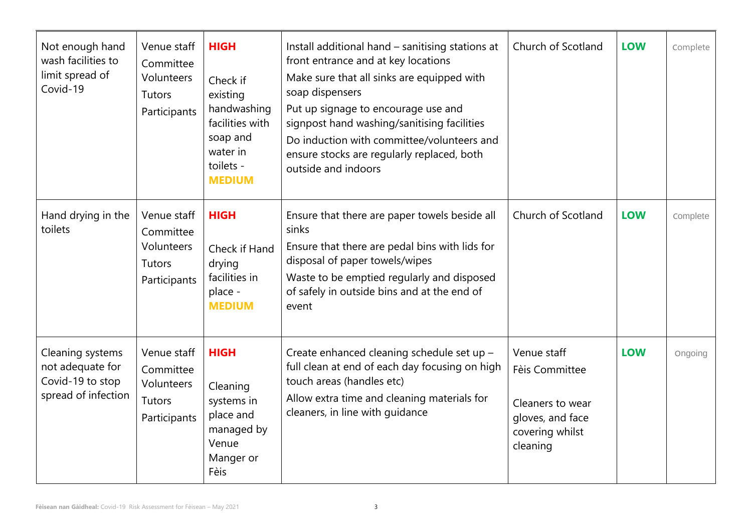| Not enough hand<br>wash facilities to<br>limit spread of<br>Covid-19            | Venue staff<br>Committee<br>Volunteers<br><b>Tutors</b><br>Participants | <b>HIGH</b><br>Check if<br>existing<br>handwashing<br>facilities with<br>soap and<br>water in<br>toilets -<br><b>MEDIUM</b> | Install additional hand - sanitising stations at<br>front entrance and at key locations<br>Make sure that all sinks are equipped with<br>soap dispensers<br>Put up signage to encourage use and<br>signpost hand washing/sanitising facilities<br>Do induction with committee/volunteers and<br>ensure stocks are regularly replaced, both<br>outside and indoors | Church of Scotland                                                                                   | <b>LOW</b> | Complete |
|---------------------------------------------------------------------------------|-------------------------------------------------------------------------|-----------------------------------------------------------------------------------------------------------------------------|-------------------------------------------------------------------------------------------------------------------------------------------------------------------------------------------------------------------------------------------------------------------------------------------------------------------------------------------------------------------|------------------------------------------------------------------------------------------------------|------------|----------|
| Hand drying in the<br>toilets                                                   | Venue staff<br>Committee<br>Volunteers<br>Tutors<br>Participants        | <b>HIGH</b><br>Check if Hand<br>drying<br>facilities in<br>place -<br><b>MEDIUM</b>                                         | Ensure that there are paper towels beside all<br>sinks<br>Ensure that there are pedal bins with lids for<br>disposal of paper towels/wipes<br>Waste to be emptied regularly and disposed<br>of safely in outside bins and at the end of<br>event                                                                                                                  | Church of Scotland                                                                                   | <b>LOW</b> | Complete |
| Cleaning systems<br>not adequate for<br>Covid-19 to stop<br>spread of infection | Venue staff<br>Committee<br>Volunteers<br><b>Tutors</b><br>Participants | <b>HIGH</b><br>Cleaning<br>systems in<br>place and<br>managed by<br>Venue<br>Manger or<br>Fèis                              | Create enhanced cleaning schedule set up -<br>full clean at end of each day focusing on high<br>touch areas (handles etc)<br>Allow extra time and cleaning materials for<br>cleaners, in line with guidance                                                                                                                                                       | Venue staff<br>Fèis Committee<br>Cleaners to wear<br>gloves, and face<br>covering whilst<br>cleaning | <b>LOW</b> | Ongoing  |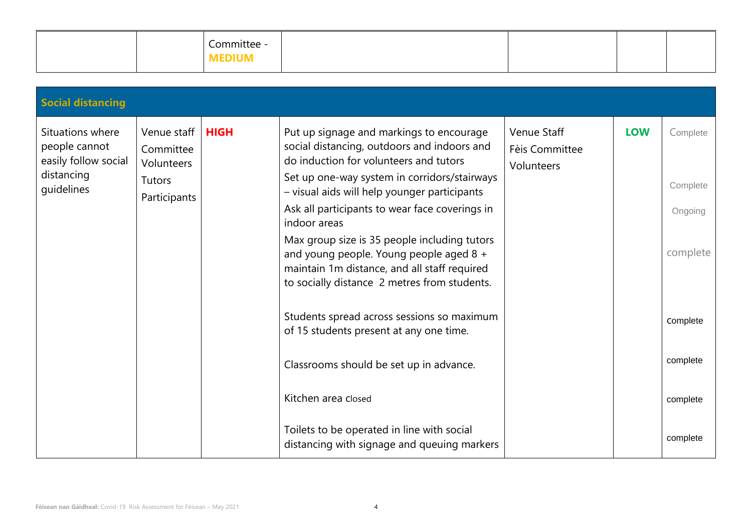|  | -<br>Committee |  |  |
|--|----------------|--|--|
|  | <b>MEDIUM</b>  |  |  |

| <b>Social distancing</b>                                                              |                                                                         |             |                                                                                                                                                                                                                                                                                                                                                                                                                                                                                                |                                             |            |                                             |
|---------------------------------------------------------------------------------------|-------------------------------------------------------------------------|-------------|------------------------------------------------------------------------------------------------------------------------------------------------------------------------------------------------------------------------------------------------------------------------------------------------------------------------------------------------------------------------------------------------------------------------------------------------------------------------------------------------|---------------------------------------------|------------|---------------------------------------------|
| Situations where<br>people cannot<br>easily follow social<br>distancing<br>guidelines | Venue staff<br>Committee<br>Volunteers<br><b>Tutors</b><br>Participants | <b>HIGH</b> | Put up signage and markings to encourage<br>social distancing, outdoors and indoors and<br>do induction for volunteers and tutors<br>Set up one-way system in corridors/stairways<br>- visual aids will help younger participants<br>Ask all participants to wear face coverings in<br>indoor areas<br>Max group size is 35 people including tutors<br>and young people. Young people aged 8 +<br>maintain 1m distance, and all staff required<br>to socially distance 2 metres from students. | Venue Staff<br>Fèis Committee<br>Volunteers | <b>LOW</b> | Complete<br>Complete<br>Ongoing<br>complete |
|                                                                                       |                                                                         |             | Students spread across sessions so maximum<br>of 15 students present at any one time.                                                                                                                                                                                                                                                                                                                                                                                                          |                                             |            | Complete                                    |
|                                                                                       |                                                                         |             | Classrooms should be set up in advance.                                                                                                                                                                                                                                                                                                                                                                                                                                                        |                                             |            | complete                                    |
|                                                                                       |                                                                         |             | Kitchen area closed                                                                                                                                                                                                                                                                                                                                                                                                                                                                            |                                             |            | complete                                    |
|                                                                                       |                                                                         |             | Toilets to be operated in line with social<br>distancing with signage and queuing markers                                                                                                                                                                                                                                                                                                                                                                                                      |                                             |            | complete                                    |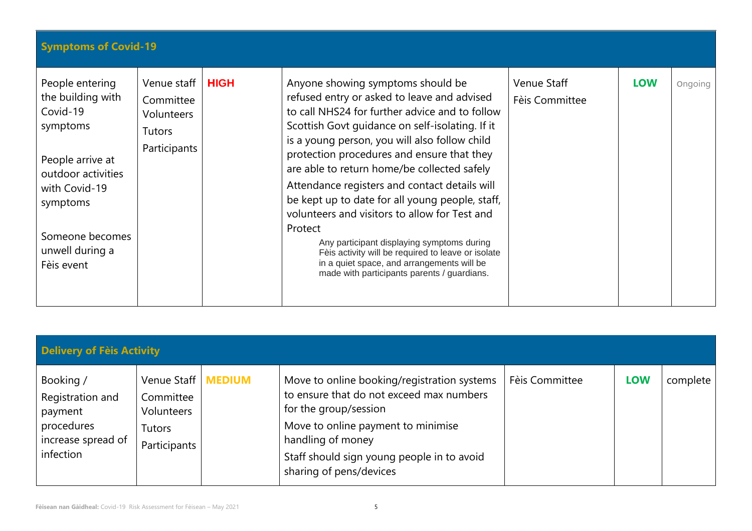| <b>Symptoms of Covid-19</b>                                                                                                                                                             |                                                                         |             |                                                                                                                                                                                                                                                                                                                                                                                                                                                                                                                                                                                                                                                                                                      |                               |            |         |
|-----------------------------------------------------------------------------------------------------------------------------------------------------------------------------------------|-------------------------------------------------------------------------|-------------|------------------------------------------------------------------------------------------------------------------------------------------------------------------------------------------------------------------------------------------------------------------------------------------------------------------------------------------------------------------------------------------------------------------------------------------------------------------------------------------------------------------------------------------------------------------------------------------------------------------------------------------------------------------------------------------------------|-------------------------------|------------|---------|
| People entering<br>the building with<br>Covid-19<br>symptoms<br>People arrive at<br>outdoor activities<br>with Covid-19<br>symptoms<br>Someone becomes<br>unwell during a<br>Fèis event | Venue staff<br>Committee<br>Volunteers<br><b>Tutors</b><br>Participants | <b>HIGH</b> | Anyone showing symptoms should be<br>refused entry or asked to leave and advised<br>to call NHS24 for further advice and to follow<br>Scottish Govt guidance on self-isolating. If it<br>is a young person, you will also follow child<br>protection procedures and ensure that they<br>are able to return home/be collected safely<br>Attendance registers and contact details will<br>be kept up to date for all young people, staff,<br>volunteers and visitors to allow for Test and<br>Protect<br>Any participant displaying symptoms during<br>Fèis activity will be required to leave or isolate<br>in a quiet space, and arrangements will be<br>made with participants parents / guardians. | Venue Staff<br>Fèis Committee | <b>LOW</b> | Ongoing |

| <b>Delivery of Fèis Activity</b>                                                          |                                                                  |               |                                                                                                                                                                                                                                                      |                |            |          |  |  |  |
|-------------------------------------------------------------------------------------------|------------------------------------------------------------------|---------------|------------------------------------------------------------------------------------------------------------------------------------------------------------------------------------------------------------------------------------------------------|----------------|------------|----------|--|--|--|
| Booking /<br>Registration and<br>payment<br>procedures<br>increase spread of<br>infection | Venue Staff<br>Committee<br>Volunteers<br>Tutors<br>Participants | <b>MEDIUM</b> | Move to online booking/registration systems<br>to ensure that do not exceed max numbers<br>for the group/session<br>Move to online payment to minimise<br>handling of money<br>Staff should sign young people in to avoid<br>sharing of pens/devices | Fèis Committee | <b>LOW</b> | complete |  |  |  |